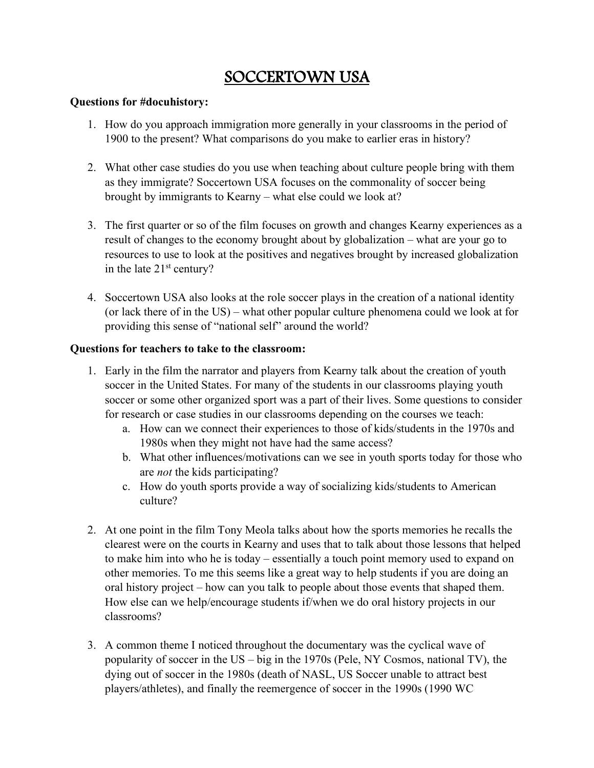## SOCCERTOWN USA

## **Questions for #docuhistory:**

- 1. How do you approach immigration more generally in your classrooms in the period of 1900 to the present? What comparisons do you make to earlier eras in history?
- 2. What other case studies do you use when teaching about culture people bring with them as they immigrate? Soccertown USA focuses on the commonality of soccer being brought by immigrants to Kearny – what else could we look at?
- 3. The first quarter or so of the film focuses on growth and changes Kearny experiences as a result of changes to the economy brought about by globalization – what are your go to resources to use to look at the positives and negatives brought by increased globalization in the late 21st century?
- 4. Soccertown USA also looks at the role soccer plays in the creation of a national identity (or lack there of in the US) – what other popular culture phenomena could we look at for providing this sense of "national self" around the world?

## **Questions for teachers to take to the classroom:**

- 1. Early in the film the narrator and players from Kearny talk about the creation of youth soccer in the United States. For many of the students in our classrooms playing youth soccer or some other organized sport was a part of their lives. Some questions to consider for research or case studies in our classrooms depending on the courses we teach:
	- a. How can we connect their experiences to those of kids/students in the 1970s and 1980s when they might not have had the same access?
	- b. What other influences/motivations can we see in youth sports today for those who are *not* the kids participating?
	- c. How do youth sports provide a way of socializing kids/students to American culture?
- 2. At one point in the film Tony Meola talks about how the sports memories he recalls the clearest were on the courts in Kearny and uses that to talk about those lessons that helped to make him into who he is today – essentially a touch point memory used to expand on other memories. To me this seems like a great way to help students if you are doing an oral history project – how can you talk to people about those events that shaped them. How else can we help/encourage students if/when we do oral history projects in our classrooms?
- 3. A common theme I noticed throughout the documentary was the cyclical wave of popularity of soccer in the US – big in the 1970s (Pele, NY Cosmos, national TV), the dying out of soccer in the 1980s (death of NASL, US Soccer unable to attract best players/athletes), and finally the reemergence of soccer in the 1990s (1990 WC